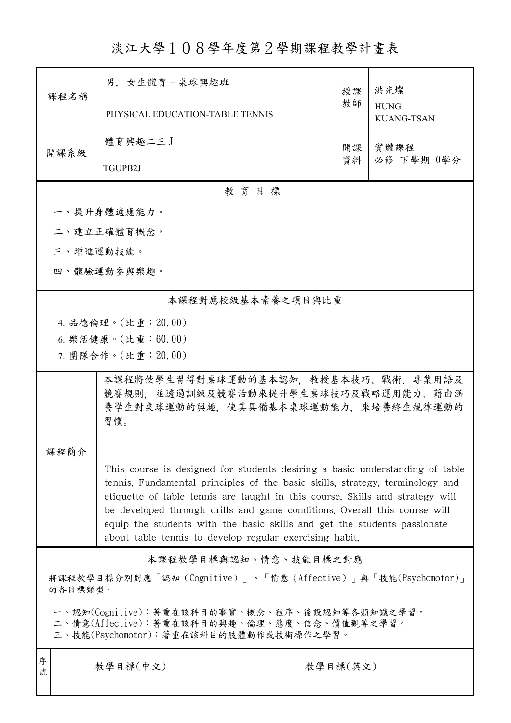## 淡江大學108學年度第2學期課程教學計畫表

| 課程名稱                                                                                                                                                                                                                                                                                                                                                                                                                                                               | 男. 女生體育-桌球興趣班                                                                                                            |                   | 授課 | 洪光燦<br><b>HUNG</b><br><b>KUANG-TSAN</b> |  |  |  |  |
|--------------------------------------------------------------------------------------------------------------------------------------------------------------------------------------------------------------------------------------------------------------------------------------------------------------------------------------------------------------------------------------------------------------------------------------------------------------------|--------------------------------------------------------------------------------------------------------------------------|-------------------|----|-----------------------------------------|--|--|--|--|
|                                                                                                                                                                                                                                                                                                                                                                                                                                                                    | PHYSICAL EDUCATION-TABLE TENNIS                                                                                          |                   | 教師 |                                         |  |  |  |  |
|                                                                                                                                                                                                                                                                                                                                                                                                                                                                    | 體育興趣二三J                                                                                                                  |                   | 開課 | 實體課程<br>必修 下學期 0學分                      |  |  |  |  |
| 開課系級                                                                                                                                                                                                                                                                                                                                                                                                                                                               | TGUPB2J                                                                                                                  |                   | 資料 |                                         |  |  |  |  |
| 教育目標                                                                                                                                                                                                                                                                                                                                                                                                                                                               |                                                                                                                          |                   |    |                                         |  |  |  |  |
|                                                                                                                                                                                                                                                                                                                                                                                                                                                                    | 一、提升身體適應能力。                                                                                                              |                   |    |                                         |  |  |  |  |
|                                                                                                                                                                                                                                                                                                                                                                                                                                                                    | 二、建立正確體育概念。                                                                                                              |                   |    |                                         |  |  |  |  |
|                                                                                                                                                                                                                                                                                                                                                                                                                                                                    | 三、增進運動技能。                                                                                                                |                   |    |                                         |  |  |  |  |
| 四、體驗運動參與樂趣。                                                                                                                                                                                                                                                                                                                                                                                                                                                        |                                                                                                                          |                   |    |                                         |  |  |  |  |
|                                                                                                                                                                                                                                                                                                                                                                                                                                                                    |                                                                                                                          | 本課程對應校級基本素養之項目與比重 |    |                                         |  |  |  |  |
|                                                                                                                                                                                                                                                                                                                                                                                                                                                                    | 4. 品德倫理。(比重:20.00)                                                                                                       |                   |    |                                         |  |  |  |  |
|                                                                                                                                                                                                                                                                                                                                                                                                                                                                    | 6. 樂活健康。(比重:60.00)                                                                                                       |                   |    |                                         |  |  |  |  |
|                                                                                                                                                                                                                                                                                                                                                                                                                                                                    | 7. 團隊合作。(比重: 20.00)                                                                                                      |                   |    |                                         |  |  |  |  |
|                                                                                                                                                                                                                                                                                                                                                                                                                                                                    | 本課程將使學生習得對桌球運動的基本認知,教授基本技巧、戰術、專業用語及<br>競賽規則,並透過訓練及競賽活動來提升學生桌球技巧及戰略運用能力。藉由涵<br>養學生對桌球運動的興趣,使其具備基本桌球運動能力,來培養終生規律運動的<br>習慣。 |                   |    |                                         |  |  |  |  |
| 课程简介                                                                                                                                                                                                                                                                                                                                                                                                                                                               |                                                                                                                          |                   |    |                                         |  |  |  |  |
| This course is designed for students desiring a basic understanding of table<br>tennis. Fundamental principles of the basic skills, strategy, terminology and<br>etiquette of table tennis are taught in this course. Skills and strategy will<br>be developed through drills and game conditions. Overall this course will<br>equip the students with the basic skills and get the students passionate<br>about table tennis to develop regular exercising habit. |                                                                                                                          |                   |    |                                         |  |  |  |  |
| 本課程教學目標與認知、情意、技能目標之對應                                                                                                                                                                                                                                                                                                                                                                                                                                              |                                                                                                                          |                   |    |                                         |  |  |  |  |
| 將課程教學目標分別對應「認知(Cognitive)」、「情意(Affective)」與「技能(Psychomotor)」<br>的各目標類型。                                                                                                                                                                                                                                                                                                                                                                                            |                                                                                                                          |                   |    |                                         |  |  |  |  |
| 一、認知(Cognitive):著重在該科目的事實、概念、程序、後設認知等各類知識之學習。<br>二、情意(Affective):著重在該科目的興趣、倫理、態度、信念、價值觀等之學習。<br>三、技能(Psychomotor):著重在該科目的肢體動作或技術操作之學習。                                                                                                                                                                                                                                                                                                                             |                                                                                                                          |                   |    |                                         |  |  |  |  |
| 序<br>號                                                                                                                                                                                                                                                                                                                                                                                                                                                             | 教學目標(中文)<br>教學目標(英文)                                                                                                     |                   |    |                                         |  |  |  |  |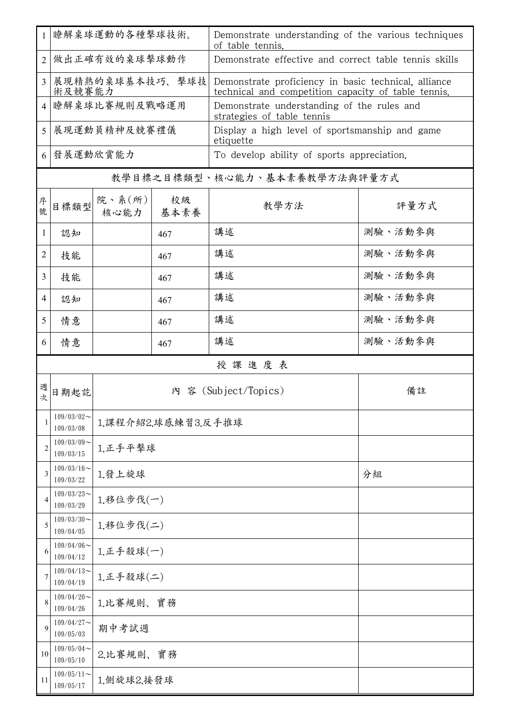| $\mathbf{1}$   | 瞭解桌球運動的各種擊球技術。                |                        |            | Demonstrate understanding of the various techniques<br>of table tennis.                                     |         |  |  |  |
|----------------|-------------------------------|------------------------|------------|-------------------------------------------------------------------------------------------------------------|---------|--|--|--|
| $\overline{2}$ | 做出正確有效的桌球擊球動作                 |                        |            | Demonstrate effective and correct table tennis skills                                                       |         |  |  |  |
| 3              | 展現精熟的桌球基本技巧、擊球技<br>術及競賽能力     |                        |            | Demonstrate proficiency in basic technical, alliance<br>technical and competition capacity of table tennis. |         |  |  |  |
| $\overline{4}$ | 瞭解桌球比賽規則及戰略運用                 |                        |            | Demonstrate understanding of the rules and<br>strategies of table tennis                                    |         |  |  |  |
| 5              | 展現運動員精神及競賽禮儀                  |                        |            | Display a high level of sportsmanship and game<br>etiquette                                                 |         |  |  |  |
| 6              | 發展運動欣賞能力                      |                        |            | To develop ability of sports appreciation.                                                                  |         |  |  |  |
|                | 教學目標之目標類型、核心能力、基本素養教學方法與評量方式  |                        |            |                                                                                                             |         |  |  |  |
| 序號             | 目標類型                          | 院、系 $(\kappa)$<br>核心能力 | 校級<br>基本素養 | 教學方法                                                                                                        | 評量方式    |  |  |  |
| 1              | 認知                            |                        | 467        | 講述                                                                                                          | 測驗、活動參與 |  |  |  |
| $\overline{2}$ | 技能                            |                        | 467        | 講述                                                                                                          | 測驗、活動參與 |  |  |  |
| 3              | 技能                            |                        | 467        | 講述                                                                                                          | 測驗、活動參與 |  |  |  |
| $\overline{4}$ | 認知                            |                        | 467        | 講述                                                                                                          | 測驗、活動參與 |  |  |  |
| 5              | 情意                            |                        | 467        | 講述                                                                                                          | 測驗、活動參與 |  |  |  |
| 6              | 情意                            |                        | 467        | 講述                                                                                                          | 測驗、活動參與 |  |  |  |
|                |                               |                        |            | 授課進度表                                                                                                       |         |  |  |  |
| 週次             | 日期起訖                          |                        |            | 内 容 (Subject/Topics)                                                                                        | 備註      |  |  |  |
| 1              | $109/03/02$ ~<br>109/03/08    | 1.課程介紹2.球感練習3.反手推球     |            |                                                                                                             |         |  |  |  |
| $\overline{2}$ | $109/03/09$ ~<br>109/03/15    | 1.正手平擊球                |            |                                                                                                             |         |  |  |  |
| 3              | $109/03/16$ ~<br>109/03/22    | 1.發上旋球                 |            |                                                                                                             | 分組      |  |  |  |
| 4              | $109/03/23$ ~<br>109/03/29    | 1.移位步伐(一)              |            |                                                                                                             |         |  |  |  |
| 5              | $109/03/30$ ~<br>109/04/05    | 1.移位步伐(二)              |            |                                                                                                             |         |  |  |  |
| 6              | $109/04/06 \sim$<br>109/04/12 | 1.正手殺球(一)              |            |                                                                                                             |         |  |  |  |
| 7              | $109/04/13$ ~<br>109/04/19    | 1.正手殺球(二)              |            |                                                                                                             |         |  |  |  |
| 8              | $109/04/20$ ~<br>109/04/26    | 1.比賽規則、實務              |            |                                                                                                             |         |  |  |  |
| 9              | $109/04/27$ ~<br>109/05/03    | 期中考試週                  |            |                                                                                                             |         |  |  |  |
| 10             | $109/05/04$ ~<br>109/05/10    | 2.比賽規則、實務              |            |                                                                                                             |         |  |  |  |
| 11             | $109/05/11$ ~<br>109/05/17    | 1.側旋球2.接發球             |            |                                                                                                             |         |  |  |  |